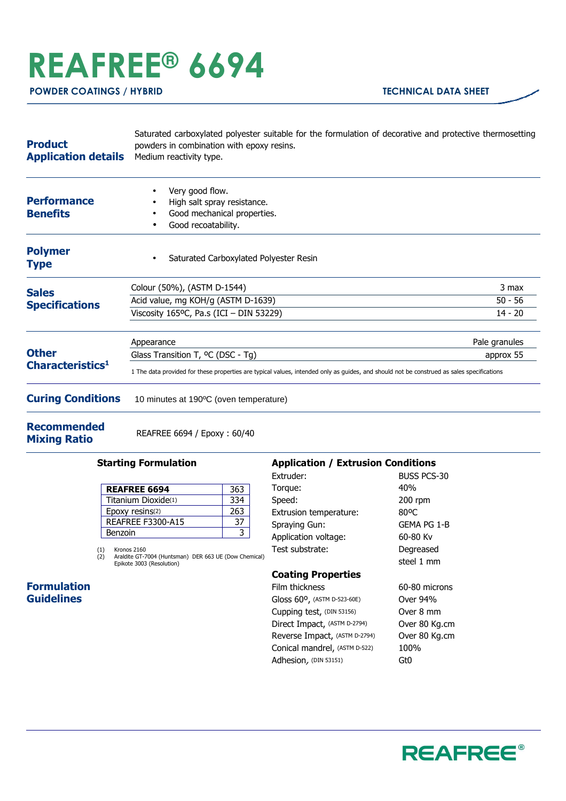## **REAFREE® 6694**

**POWDER COATINGS / HYBRID TECHNICAL DATA SHEET** 

| Medium reactivity type.                                                                                                                   |                                           |
|-------------------------------------------------------------------------------------------------------------------------------------------|-------------------------------------------|
| Very good flow.<br>High salt spray resistance.<br>Good mechanical properties.<br>Good recoatability.                                      |                                           |
| Saturated Carboxylated Polyester Resin                                                                                                    |                                           |
| Colour (50%), (ASTM D-1544)                                                                                                               | 3 max                                     |
| Acid value, mg KOH/g (ASTM D-1639)                                                                                                        | $50 - 56$                                 |
| Viscosity 165°C, Pa.s (ICI - DIN 53229)                                                                                                   | $14 - 20$                                 |
| Appearance                                                                                                                                | Pale granules                             |
| Glass Transition T, <sup>o</sup> C (DSC - Tg)                                                                                             | approx 55                                 |
| 1 The data provided for these properties are typical values, intended only as guides, and should not be construed as sales specifications |                                           |
| 10 minutes at 190°C (oven temperature)                                                                                                    |                                           |
|                                                                                                                                           | powders in combination with epoxy resins. |

**Recommended** 

**Mixing Ratio** REAFREE 6694 / Epoxy : 60/40

## **Starting Formulation**

| <b>REAFREE 6694</b>      | 363 |
|--------------------------|-----|
| Titanium Dioxide(1)      | 334 |
| Epoxy resins(2)          | 263 |
| <b>REAFREE F3300-A15</b> |     |
| Benzoin                  |     |

(1) Kronos 2160 (2) Araldite GT-7004 (Huntsman) DER 663 UE (Dow Chemical) Epikote 3003 (Resolution)

## **Application / Extrusion Conditions**  Extruder: BUSS PCS-30<br>
Torque: 40%<br>
40% Torque:

| i vi yuc.                     | 1 V / U       |
|-------------------------------|---------------|
| Speed:                        | 200 rpm       |
| Extrusion temperature:        | 80°C          |
| Spraying Gun:                 | GEMA PG 1-B   |
| Application voltage:          | 60-80 Kv      |
| Test substrate:               | Degreased     |
|                               | steel 1 mm    |
| <b>Coating Properties</b>     |               |
| Film thickness                | 60-80 microns |
| Gloss 60°, (ASTM D-523-60E)   | Over 94%      |
| Cupping test, (DIN 53156)     | Over 8 mm     |
| Direct Impact, (ASTM D-2794)  | Over 80 Kg.cm |
| Reverse Impact, (ASTM D-2794) | Over 80 Kg.cm |
| Conical mandrel, (ASTM D-522) | 100%          |
| Adhesion, (DIN 53151)         | Gt0           |

## **Formulation Guidelines**